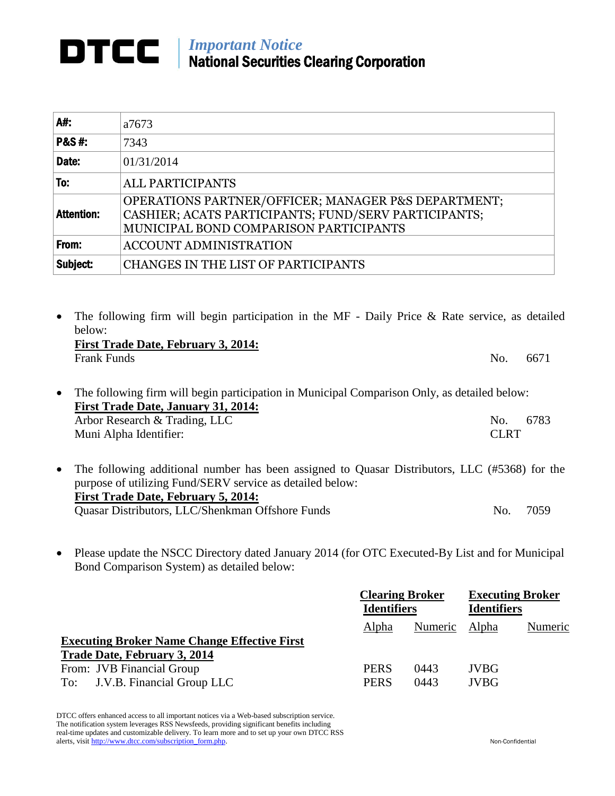## *Important Notice* National Securities Clearing Corporation

| A#:               | a7673                                                                                                                                                 |
|-------------------|-------------------------------------------------------------------------------------------------------------------------------------------------------|
| <b>P&amp;S#:</b>  | 7343                                                                                                                                                  |
| Date:             | 01/31/2014                                                                                                                                            |
| To:               | <b>ALL PARTICIPANTS</b>                                                                                                                               |
| <b>Attention:</b> | OPERATIONS PARTNER/OFFICER; MANAGER P&S DEPARTMENT;<br>CASHIER; ACATS PARTICIPANTS; FUND/SERV PARTICIPANTS;<br>MUNICIPAL BOND COMPARISON PARTICIPANTS |
| From:             | <b>ACCOUNT ADMINISTRATION</b>                                                                                                                         |
| Subject:          | <b>CHANGES IN THE LIST OF PARTICIPANTS</b>                                                                                                            |

- The following firm will begin participation in the MF Daily Price & Rate service, as detailed below: **First Trade Date, February 3, 2014:** Frank Funds No. 6671 • The following firm will begin participation in Municipal Comparison Only, as detailed below: **First Trade Date, January 31, 2014:** Arbor Research & Trading, LLC No. 6783 Muni Alpha Identifier: CLRT
- The following additional number has been assigned to Quasar Distributors, LLC (#5368) for the purpose of utilizing Fund/SERV service as detailed below: **First Trade Date, February 5, 2014:** Quasar Distributors, LLC/Shenkman Offshore Funds No. 7059
- Please update the NSCC Directory dated January 2014 (for OTC Executed-By List and for Municipal Bond Comparison System) as detailed below:

|                                                                                     | <b>Clearing Broker</b><br><b>Identifiers</b> |              | <b>Executing Broker</b><br><b>Identifiers</b> |         |
|-------------------------------------------------------------------------------------|----------------------------------------------|--------------|-----------------------------------------------|---------|
|                                                                                     | Alpha                                        | Numeric      | Alpha                                         | Numeric |
| <b>Executing Broker Name Change Effective First</b><br>Trade Date, February 3, 2014 |                                              |              |                                               |         |
| From: JVB Financial Group<br>J.V.B. Financial Group LLC<br>To:                      | <b>PERS</b><br><b>PERS</b>                   | 0443<br>0443 | <b>JVBG</b><br><b>JVBG</b>                    |         |

DTCC offers enhanced access to all important notices via a Web-based subscription service. The notification system leverages RSS Newsfeeds, providing significant benefits including real-time updates and customizable delivery. To learn more and to set up your own DTCC RSS alerts, visit http://www.dtcc.com/subscription\_form.php. Non-Confidential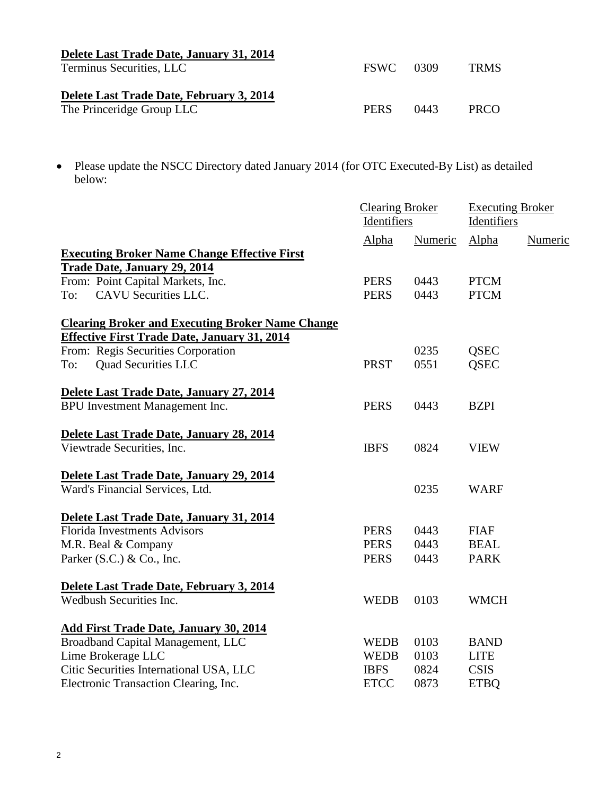| Delete Last Trade Date, January 31, 2014 |             |        |             |
|------------------------------------------|-------------|--------|-------------|
| Terminus Securities, LLC                 | <b>FSWC</b> | - 0309 | <b>TRMS</b> |
|                                          |             |        |             |
| Delete Last Trade Date, February 3, 2014 |             |        |             |
| The Princeridge Group LLC                | <b>PERS</b> | 0443   | <b>PRCO</b> |

 Please update the NSCC Directory dated January 2014 (for OTC Executed-By List) as detailed below:

|                                                         | <b>Clearing Broker</b><br>Identifiers |         | <b>Executing Broker</b><br>Identifiers |         |
|---------------------------------------------------------|---------------------------------------|---------|----------------------------------------|---------|
|                                                         | Alpha                                 | Numeric | Alpha                                  | Numeric |
| <b>Executing Broker Name Change Effective First</b>     |                                       |         |                                        |         |
| <b>Trade Date, January 29, 2014</b>                     |                                       |         |                                        |         |
| From: Point Capital Markets, Inc.                       | <b>PERS</b>                           | 0443    | <b>PTCM</b>                            |         |
| CAVU Securities LLC.<br>To:                             | <b>PERS</b>                           | 0443    | <b>PTCM</b>                            |         |
| <b>Clearing Broker and Executing Broker Name Change</b> |                                       |         |                                        |         |
| <b>Effective First Trade Date, January 31, 2014</b>     |                                       |         |                                        |         |
| From: Regis Securities Corporation                      |                                       | 0235    | <b>QSEC</b>                            |         |
| <b>Quad Securities LLC</b><br>To:                       | <b>PRST</b>                           | 0551    | <b>OSEC</b>                            |         |
| Delete Last Trade Date, January 27, 2014                |                                       |         |                                        |         |
| BPU Investment Management Inc.                          | <b>PERS</b>                           | 0443    | <b>BZPI</b>                            |         |
| Delete Last Trade Date, January 28, 2014                |                                       |         |                                        |         |
| Viewtrade Securities, Inc.                              | <b>IBFS</b>                           | 0824    | <b>VIEW</b>                            |         |
| Delete Last Trade Date, January 29, 2014                |                                       |         |                                        |         |
| Ward's Financial Services, Ltd.                         |                                       | 0235    | <b>WARF</b>                            |         |
| Delete Last Trade Date, January 31, 2014                |                                       |         |                                        |         |
| <b>Florida Investments Advisors</b>                     | <b>PERS</b>                           | 0443    | <b>FIAF</b>                            |         |
| M.R. Beal & Company                                     | <b>PERS</b>                           | 0443    | <b>BEAL</b>                            |         |
| Parker (S.C.) & Co., Inc.                               | <b>PERS</b>                           | 0443    | <b>PARK</b>                            |         |
| Delete Last Trade Date, February 3, 2014                |                                       |         |                                        |         |
| Wedbush Securities Inc.                                 | <b>WEDB</b>                           | 0103    | <b>WMCH</b>                            |         |
| <b>Add First Trade Date, January 30, 2014</b>           |                                       |         |                                        |         |
| Broadband Capital Management, LLC                       | <b>WEDB</b>                           | 0103    | <b>BAND</b>                            |         |
| Lime Brokerage LLC                                      | <b>WEDB</b>                           | 0103    | <b>LITE</b>                            |         |
| Citic Securities International USA, LLC                 | <b>IBFS</b>                           | 0824    | <b>CSIS</b>                            |         |
| Electronic Transaction Clearing, Inc.                   | <b>ETCC</b>                           | 0873    | <b>ETBQ</b>                            |         |